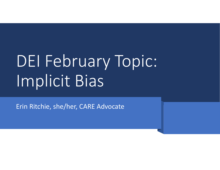# DEI February Topic: Implicit Bias

Erin Ritchie, she/her, CARE Advocate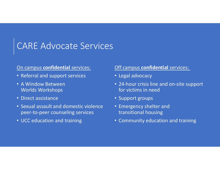## CARE Advocate Services

#### On campus **confidential** services:

- Referral and support services
- A Window Between Worlds Workshops
- Direct assistance
- Sexual assault and domestic violence peer‐to‐peer counseling services
- UCC education and training

#### Off campus **confidential** services:

- Legal advocacy
- 24‐hour crisis line and on‐site support for victims in need
- Support groups
- Emergency shelter and transitional housing
- Community education and training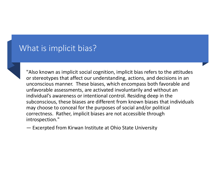### What is implicit bias?

"Also known as implicit social cognition, implicit bias refers to the attitudes or stereotypes that affect our understanding, actions, and decisions in an unconscious manner. These biases, which encompass both favorable and unfavorable assessments, are activated involuntarily and without an individual's awareness or intentional control. Residing deep in the subconscious, these biases are different from known biases that individuals may choose to conceal for the purposes of social and/or political correctness. Rather, implicit biases are not accessible through introspection."

— Excerpted from Kirwan Institute at Ohio State University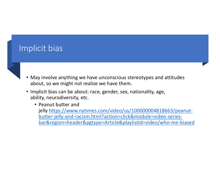## Implicit bias

- May involve anything we have unconscious stereotypes and attitudes about, so we might not realize we have them.
- Implicit bias can be about: race, gender, sex, nationality, age, ability, neurodiversity, etc.
	- Peanut butter andjelly https://www.nytimes.com/video/us/100000004818663/peanutbutter‐jelly‐and‐racism.html?action=click&module=video‐series‐ bar&region=header&pgtype=Article&playlistId=video/who‐me‐biased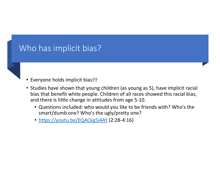## Who has implicit bias?

#### • Everyone holds implicit bias!!!

- Studies have shown that young children (as young as 5), have implicit racial bias that benefit white people. Children of all races showed this racial bias, and there is little change in attitudes from age 5‐10.
	- Questions included: who would you like to be friends with? Who's the smart/dumb one? Who's the ugly/pretty one?
	- https://youtu.be/EQACkg5i4AY (2:28‐4:16)